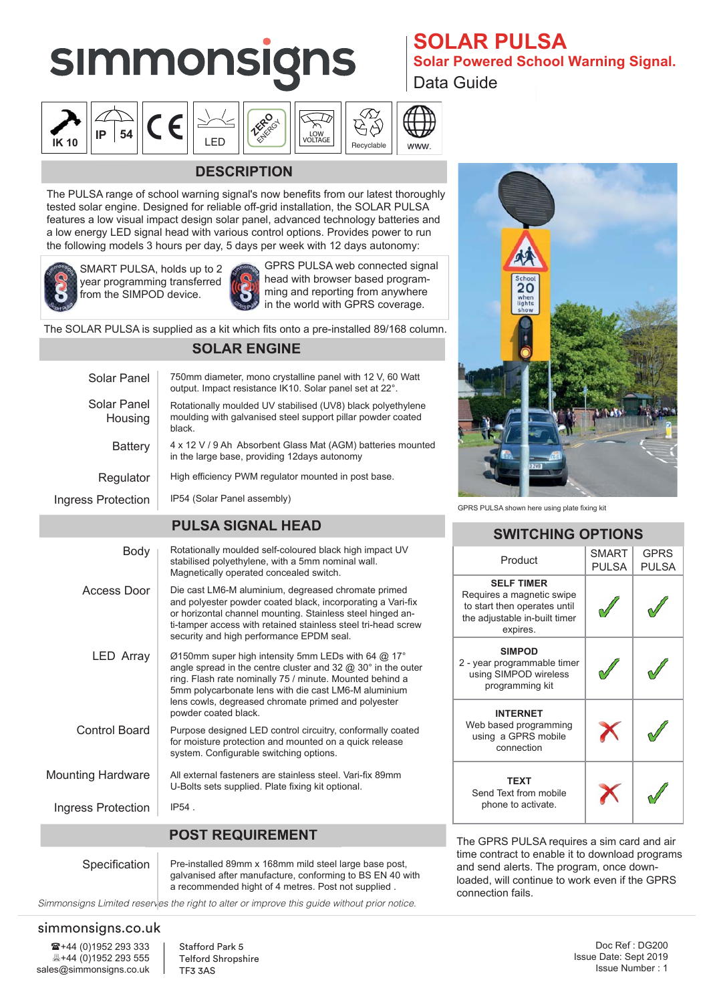# **simmonsigns**





## **DESCRIPTION**

The PULSA range of school warning signal's now benefits from our latest thoroughly tested solar engine. Designed for reliable off-grid installation, the SOLAR PULSA features a low visual impact design solar panel, advanced technology batteries and a low energy LED signal head with various control options. Provides power to run the following models 3 hours per day, 5 days per week with 12 days autonomy:



SMART PULSA, holds up to 2 year programming transferred from the SIMPOD device.



GPRS PULSA web connected signal head with browser based programming and reporting from anywhere in the world with GPRS coverage.

The SOLAR PULSA is supplied as a kit which fits onto a pre-installed 89/168 column.

### **SOLAR ENGINE**

| Solar Panel              | 750mm diameter, mono crystalline panel with 12 V, 60 Watt<br>output. Impact resistance IK10. Solar panel set at 22°.                                                                                                                                                                                                              |  |  |  |  |
|--------------------------|-----------------------------------------------------------------------------------------------------------------------------------------------------------------------------------------------------------------------------------------------------------------------------------------------------------------------------------|--|--|--|--|
| Solar Panel<br>Housing   | Rotationally moulded UV stabilised (UV8) black polyethylene<br>moulding with galvanised steel support pillar powder coated<br>black                                                                                                                                                                                               |  |  |  |  |
| <b>Battery</b>           | 4 x 12 V / 9 Ah Absorbent Glass Mat (AGM) batteries mounted<br>in the large base, providing 12 days autonomy                                                                                                                                                                                                                      |  |  |  |  |
| Regulator                | High efficiency PWM regulator mounted in post base.                                                                                                                                                                                                                                                                               |  |  |  |  |
| Ingress Protection       | IP54 (Solar Panel assembly)                                                                                                                                                                                                                                                                                                       |  |  |  |  |
| <b>PULSA SIGNAL HEAD</b> |                                                                                                                                                                                                                                                                                                                                   |  |  |  |  |
| Body                     | Rotationally moulded self-coloured black high impact UV<br>stabilised polyethylene, with a 5mm nominal wall.<br>Magnetically operated concealed switch.                                                                                                                                                                           |  |  |  |  |
| Access Door              | Die cast LM6-M aluminium, degreased chromate primed<br>and polyester powder coated black, incorporating a Vari-fix<br>or horizontal channel mounting. Stainless steel hinged an-<br>ti-tamper access with retained stainless steel tri-head screw<br>security and high performance EPDM seal.                                     |  |  |  |  |
| <b>LED Array</b>         | Ø150mm super high intensity 5mm LEDs with 64 @ 17°<br>angle spread in the centre cluster and 32 $@$ 30 $^{\circ}$ in the outer<br>ring. Flash rate nominally 75 / minute. Mounted behind a<br>5mm polycarbonate lens with die cast LM6-M aluminium<br>lens cowls, degreased chromate primed and polyester<br>powder coated black. |  |  |  |  |
| Control Board            | Purpose designed LED control circuitry, conformally coated<br>for moisture protection and mounted on a quick release<br>system. Configurable switching options.                                                                                                                                                                   |  |  |  |  |
| <b>Mounting Hardware</b> | All external fasteners are stainless steel. Vari-fix 89mm<br>U-Bolts sets supplied. Plate fixing kit optional.                                                                                                                                                                                                                    |  |  |  |  |
| Ingress Protection       | $IP54$ .                                                                                                                                                                                                                                                                                                                          |  |  |  |  |
| <b>POST REQUIREMENT</b>  |                                                                                                                                                                                                                                                                                                                                   |  |  |  |  |
|                          |                                                                                                                                                                                                                                                                                                                                   |  |  |  |  |

Pre-installed 89mm x 168mm mild steel large base post, galvanised after manufacture, conforming to BS EN 40 with a recommended hight of 4 metres. Post not supplied . Specification

*Simmonsigns Limited reserves the right to alter or improve this guide without prior notice.*

### simmonsigns.co.uk

**☎+44 (0)1952 293 333** +44 (0)1952 293 333 +44 (0)1952 293 555 sales@simmonsigns.co.uk sales@simmonsigns.co.uk Stafford Park 5 Telford Shropshire TF3 3AS

### **SULAK PULSA<br>Solar Powered School Warning Signal. SOLAR PULSA**

Data Guide



GPRS PULSA shown here using plate fixing kit

### **SWITCHING OPTIONS**

| Product                                                                                                                     | <b>SMART</b><br><b>PULSA</b> | <b>GPRS</b><br><b>PULSA</b> |  |
|-----------------------------------------------------------------------------------------------------------------------------|------------------------------|-----------------------------|--|
| <b>SELF TIMER</b><br>Requires a magnetic swipe<br>to start then operates until<br>the adjustable in-built timer<br>expires. |                              |                             |  |
| <b>SIMPOD</b><br>2 - year programmable timer<br>using SIMPOD wireless<br>programming kit                                    |                              |                             |  |
| <b>INTERNET</b><br>Web based programming<br>using a GPRS mobile<br>connection                                               |                              |                             |  |
| <b>TEXT</b><br>Send Text from mobile<br>phone to activate.                                                                  |                              |                             |  |

The GPRS PULSA requires a sim card and air time contract to enable it to download programs and send alerts. The program, once downloaded, will continue to work even if the GPRS connection fails.